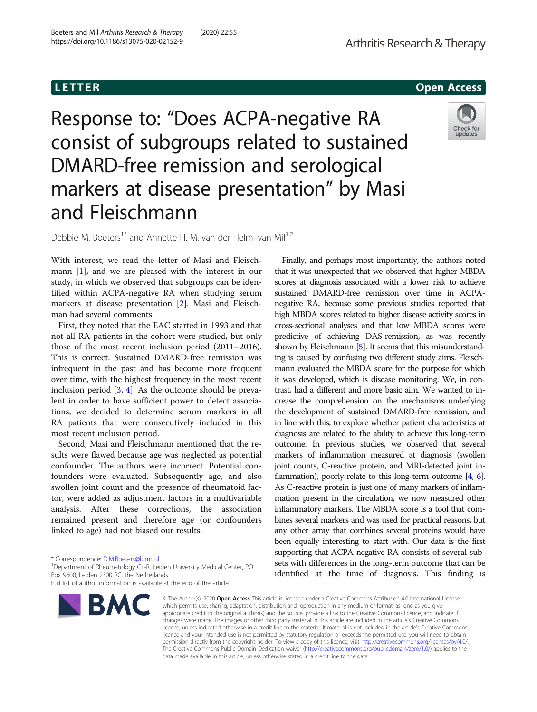**LETTER** CONSTRUCTION CONTINUES AND LOCAL CONTINUES OPEN ACCESS OPEN ACCESS OPEN ACCESS OPEN ACCESS OPEN ACCESS O

# Response to: "Does ACPA-negative RA consist of subgroups related to sustained DMARD-free remission and serological markers at disease presentation" by Masi and Fleischmann



Debbie M. Boeters<sup>1\*</sup> and Annette H. M. van der Helm–van Mil<sup>1,2</sup>

With interest, we read the letter of Masi and Fleischmann [[1\]](#page-1-0), and we are pleased with the interest in our study, in which we observed that subgroups can be identified within ACPA-negative RA when studying serum markers at disease presentation [\[2](#page-1-0)]. Masi and Fleischman had several comments.

First, they noted that the EAC started in 1993 and that not all RA patients in the cohort were studied, but only those of the most recent inclusion period (2011–2016). This is correct. Sustained DMARD-free remission was infrequent in the past and has become more frequent over time, with the highest frequency in the most recent inclusion period [\[3](#page-1-0), [4\]](#page-1-0). As the outcome should be prevalent in order to have sufficient power to detect associations, we decided to determine serum markers in all RA patients that were consecutively included in this most recent inclusion period.

Second, Masi and Fleischmann mentioned that the results were flawed because age was neglected as potential confounder. The authors were incorrect. Potential confounders were evaluated. Subsequently age, and also swollen joint count and the presence of rheumatoid factor, were added as adjustment factors in a multivariable analysis. After these corrections, the association remained present and therefore age (or confounders linked to age) had not biased our results.

Full list of author information is available at the end of the article



Finally, and perhaps most importantly, the authors noted that it was unexpected that we observed that higher MBDA scores at diagnosis associated with a lower risk to achieve sustained DMARD-free remission over time in ACPAnegative RA, because some previous studies reported that high MBDA scores related to higher disease activity scores in cross-sectional analyses and that low MBDA scores were predictive of achieving DAS-remission, as was recently shown by Fleischmann [\[5\]](#page-1-0). It seems that this misunderstanding is caused by confusing two different study aims. Fleischmann evaluated the MBDA score for the purpose for which it was developed, which is disease monitoring. We, in contrast, had a different and more basic aim. We wanted to increase the comprehension on the mechanisms underlying the development of sustained DMARD-free remission, and in line with this, to explore whether patient characteristics at diagnosis are related to the ability to achieve this long-term outcome. In previous studies, we observed that several markers of inflammation measured at diagnosis (swollen joint counts, C-reactive protein, and MRI-detected joint in-flammation), poorly relate to this long-term outcome [\[4,](#page-1-0) [6\]](#page-1-0). As C-reactive protein is just one of many markers of inflammation present in the circulation, we now measured other inflammatory markers. The MBDA score is a tool that combines several markers and was used for practical reasons, but any other array that combines several proteins would have been equally interesting to start with. Our data is the first supporting that ACPA-negative RA consists of several subsets with differences in the long-term outcome that can be identified at the time of diagnosis. This finding is

© The Author(s), 2020 **Open Access** This article is licensed under a Creative Commons Attribution 4.0 International License, which permits use, sharing, adaptation, distribution and reproduction in any medium or format, as long as you give appropriate credit to the original author(s) and the source, provide a link to the Creative Commons licence, and indicate if changes were made. The images or other third party material in this article are included in the article's Creative Commons licence, unless indicated otherwise in a credit line to the material. If material is not included in the article's Creative Commons licence and your intended use is not permitted by statutory regulation or exceeds the permitted use, you will need to obtain permission directly from the copyright holder. To view a copy of this licence, visit [http://creativecommons.org/licenses/by/4.0/.](http://creativecommons.org/licenses/by/4.0/) The Creative Commons Public Domain Dedication waiver [\(http://creativecommons.org/publicdomain/zero/1.0/](http://creativecommons.org/publicdomain/zero/1.0/)) applies to the data made available in this article, unless otherwise stated in a credit line to the data.

<sup>\*</sup> Correspondence: [D.M.Boeters@lumc.nl](mailto:D.M.Boeters@lumc.nl) <sup>1</sup>

<sup>&</sup>lt;sup>1</sup>Department of Rheumatology C1-R, Leiden University Medical Center, PO Box 9600, Leiden 2300 RC, the Netherlands